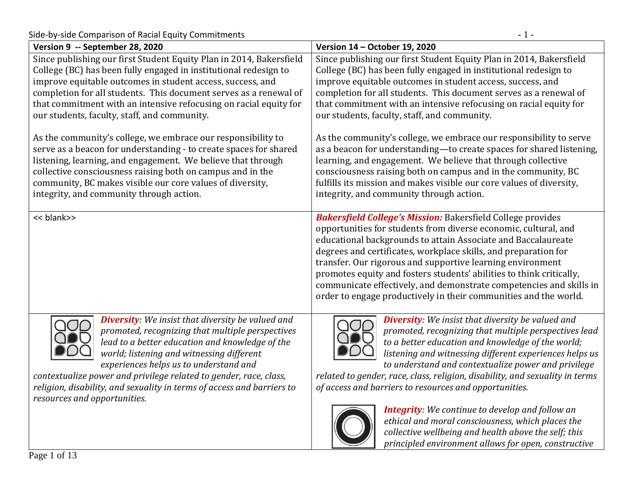Side-by-side Comparison of Racial Equity Commitments 4.1 - 1 -

| Version 9 -- September 28, 2020                                                                                                                                                                                                                                                                                                                                                                                                       | Version 14 - October 19, 2020                                                                                                                                                                                                                                                                                                                                                                                                                                                                                                                                                                                                                                      |
|---------------------------------------------------------------------------------------------------------------------------------------------------------------------------------------------------------------------------------------------------------------------------------------------------------------------------------------------------------------------------------------------------------------------------------------|--------------------------------------------------------------------------------------------------------------------------------------------------------------------------------------------------------------------------------------------------------------------------------------------------------------------------------------------------------------------------------------------------------------------------------------------------------------------------------------------------------------------------------------------------------------------------------------------------------------------------------------------------------------------|
| Since publishing our first Student Equity Plan in 2014, Bakersfield<br>College (BC) has been fully engaged in institutional redesign to<br>improve equitable outcomes in student access, success, and<br>completion for all students. This document serves as a renewal of<br>that commitment with an intensive refocusing on racial equity for<br>our students, faculty, staff, and community.                                       | Since publishing our first Student Equity Plan in 2014, Bakersfield<br>College (BC) has been fully engaged in institutional redesign to<br>improve equitable outcomes in student access, success, and<br>completion for all students. This document serves as a renewal of<br>that commitment with an intensive refocusing on racial equity for<br>our students, faculty, staff, and community.                                                                                                                                                                                                                                                                    |
| As the community's college, we embrace our responsibility to<br>serve as a beacon for understanding - to create spaces for shared<br>listening, learning, and engagement. We believe that through<br>collective consciousness raising both on campus and in the<br>community, BC makes visible our core values of diversity,<br>integrity, and community through action.                                                              | As the community's college, we embrace our responsibility to serve<br>as a beacon for understanding-to create spaces for shared listening,<br>learning, and engagement. We believe that through collective<br>consciousness raising both on campus and in the community, BC<br>fulfills its mission and makes visible our core values of diversity,<br>integrity, and community through action.                                                                                                                                                                                                                                                                    |
| << blank>>                                                                                                                                                                                                                                                                                                                                                                                                                            | <b>Bakersfield College's Mission: Bakersfield College provides</b><br>opportunities for students from diverse economic, cultural, and<br>educational backgrounds to attain Associate and Baccalaureate<br>degrees and certificates, workplace skills, and preparation for<br>transfer. Our rigorous and supportive learning environment<br>promotes equity and fosters students' abilities to think critically,<br>communicate effectively, and demonstrate competencies and skills in<br>order to engage productively in their communities and the world.                                                                                                         |
| <b>Diversity:</b> We insist that diversity be valued and<br>promoted, recognizing that multiple perspectives<br>lead to a better education and knowledge of the<br>world; listening and witnessing different<br>experiences helps us to understand and<br>contextualize power and privilege related to gender, race, class,<br>religion, disability, and sexuality in terms of access and barriers to<br>resources and opportunities. | <b>Diversity:</b> We insist that diversity be valued and<br>promoted, recognizing that multiple perspectives lead<br>to a better education and knowledge of the world;<br>listening and witnessing different experiences helps us<br>to understand and contextualize power and privilege<br>related to gender, race, class, religion, disability, and sexuality in terms<br>of access and barriers to resources and opportunities.<br><b>Integrity</b> : We continue to develop and follow an<br>ethical and moral consciousness, which places the<br>collective wellbeing and health above the self; this<br>principled environment allows for open, constructive |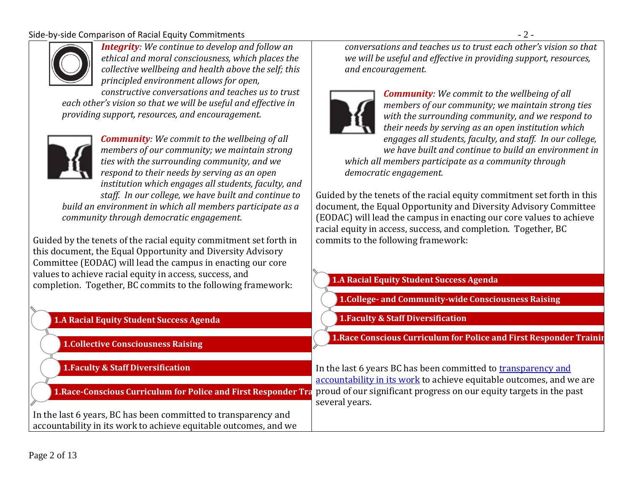#### Side-by-side Comparison of Racial Equity Commitments - 2 -



*Integrity: We continue to develop and follow an ethical and moral consciousness, which places the collective wellbeing and health above the self; this principled environment allows for open,* 

*constructive conversations and teaches us to trust each other's vision so that we will be useful and effective in providing support, resources, and encouragement.*



*Community: We commit to the wellbeing of all members of our community; we maintain strong ties with the surrounding community, and we respond to their needs by serving as an open institution which engages all students, faculty, and staff. In our college, we have built and continue to build an environment in which all members participate as a community through democratic engagement.*

Guided by the tenets of the racial equity commitment set forth in this document, the Equal Opportunity and Diversity Advisory Committee (EODAC) will lead the campus in enacting our core values to achieve racial equity in access, success, and completion. Together, BC commits to the following framework:

## **1.A Racial Equity Student Success Agenda**

**1.Collective Consciousness Raising**

**1.Faculty & Staff Diversification**

**1.Race-Conscious Curriculum for Police and First Responder Training**

In the last 6 years, BC has been committed to transparency and accountability in its work to achieve equitable outcomes, and we *conversations and teaches us to trust each other's vision so that we will be useful and effective in providing support, resources, and encouragement.*



*Community: We commit to the wellbeing of all members of our community; we maintain strong ties with the surrounding community, and we respond to their needs by serving as an open institution which engages all students, faculty, and staff. In our college, we have built and continue to build an environment in which all members participate as a community through democratic engagement.*

Guided by the tenets of the racial equity commitment set forth in this document, the Equal Opportunity and Diversity Advisory Committee (EODAC) will lead the campus in enacting our core values to achieve racial equity in access, success, and completion. Together, BC commits to the following framework:

#### **1.A Racial Equity Student Success Agenda**

- **1.College- and Community-wide Consciousness Raising**
- **1.Faculty & Staff Diversification**
- **1.Race Conscious Curriculum for Police and First Responder Trainir**

In the last 6 years BC has been committed to [transparency and](https://www.bakersfieldcollege.edu/scorecard)  [accountability in its work](https://www.bakersfieldcollege.edu/scorecard) to achieve equitable outcomes, and we are proud of our significant progress on our equity targets in the past several years.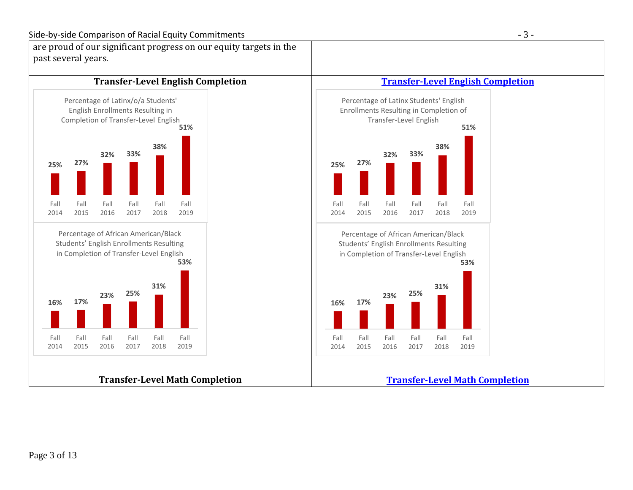





#### **[Transfer-Level Math Completion](https://www.bakersfieldcollege.edu/scorecard/student-success)**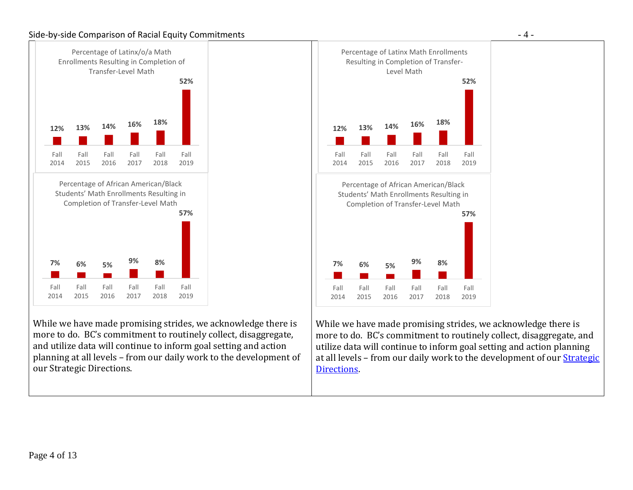#### Side-by-side Comparison of Racial Equity Commitments - 4 -



While we have made promising strides, we acknowledge there is more to do. BC's commitment to routinely collect, disaggregate, and utilize data will continue to inform goal setting and action planning at all levels – from our daily work to the development of our Strategic Directions.



While we have made promising strides, we acknowledge there is more to do. BC's commitment to routinely collect, disaggregate, and utilize data will continue to inform goal setting and action planning at all levels – from our daily work to the development of ou[r Strategic](https://www.bakersfieldcollege.edu/scorecard/strategic-directions)  [Directions.](https://www.bakersfieldcollege.edu/scorecard/strategic-directions)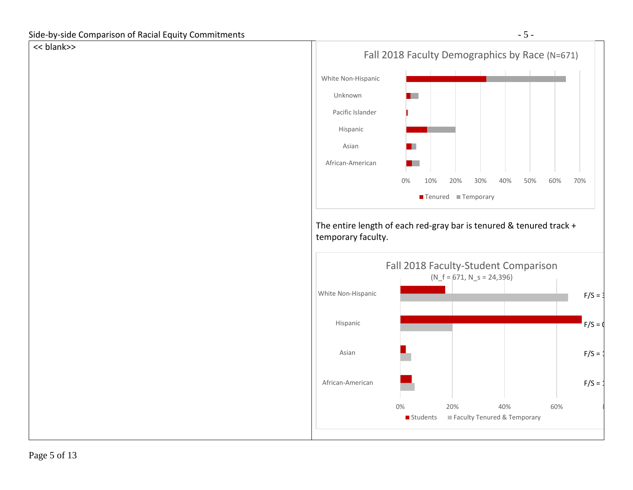## << blank>>

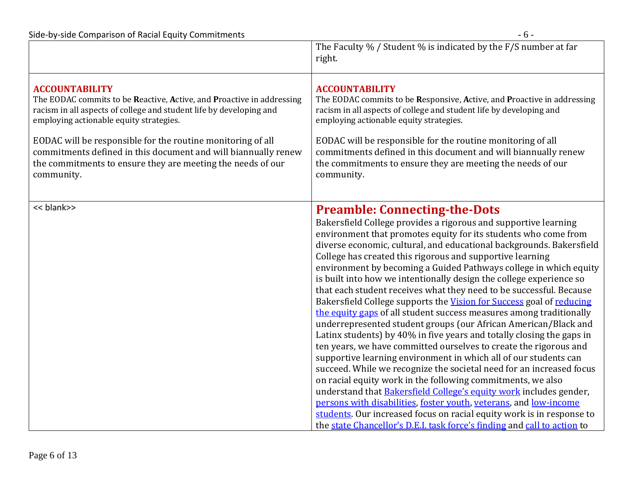|                                                                       | The Faculty % / Student % is indicated by the F/S number at far<br>right.                                                                                                                                                                                                                                                                                                                                                                                                                                                                                                                                                                                                                                                                                                                                                                                                                                                                                                                                                                                                                                                                                                                                                                                                                                                                                                                                            |
|-----------------------------------------------------------------------|----------------------------------------------------------------------------------------------------------------------------------------------------------------------------------------------------------------------------------------------------------------------------------------------------------------------------------------------------------------------------------------------------------------------------------------------------------------------------------------------------------------------------------------------------------------------------------------------------------------------------------------------------------------------------------------------------------------------------------------------------------------------------------------------------------------------------------------------------------------------------------------------------------------------------------------------------------------------------------------------------------------------------------------------------------------------------------------------------------------------------------------------------------------------------------------------------------------------------------------------------------------------------------------------------------------------------------------------------------------------------------------------------------------------|
| <b>ACCOUNTABILITY</b>                                                 | <b>ACCOUNTABILITY</b>                                                                                                                                                                                                                                                                                                                                                                                                                                                                                                                                                                                                                                                                                                                                                                                                                                                                                                                                                                                                                                                                                                                                                                                                                                                                                                                                                                                                |
| The EODAC commits to be Reactive, Active, and Proactive in addressing | The EODAC commits to be Responsive, Active, and Proactive in addressing                                                                                                                                                                                                                                                                                                                                                                                                                                                                                                                                                                                                                                                                                                                                                                                                                                                                                                                                                                                                                                                                                                                                                                                                                                                                                                                                              |
| racism in all aspects of college and student life by developing and   | racism in all aspects of college and student life by developing and                                                                                                                                                                                                                                                                                                                                                                                                                                                                                                                                                                                                                                                                                                                                                                                                                                                                                                                                                                                                                                                                                                                                                                                                                                                                                                                                                  |
| employing actionable equity strategies.                               | employing actionable equity strategies.                                                                                                                                                                                                                                                                                                                                                                                                                                                                                                                                                                                                                                                                                                                                                                                                                                                                                                                                                                                                                                                                                                                                                                                                                                                                                                                                                                              |
| EODAC will be responsible for the routine monitoring of all           | EODAC will be responsible for the routine monitoring of all                                                                                                                                                                                                                                                                                                                                                                                                                                                                                                                                                                                                                                                                                                                                                                                                                                                                                                                                                                                                                                                                                                                                                                                                                                                                                                                                                          |
| commitments defined in this document and will biannually renew        | commitments defined in this document and will biannually renew                                                                                                                                                                                                                                                                                                                                                                                                                                                                                                                                                                                                                                                                                                                                                                                                                                                                                                                                                                                                                                                                                                                                                                                                                                                                                                                                                       |
| the commitments to ensure they are meeting the needs of our           | the commitments to ensure they are meeting the needs of our                                                                                                                                                                                                                                                                                                                                                                                                                                                                                                                                                                                                                                                                                                                                                                                                                                                                                                                                                                                                                                                                                                                                                                                                                                                                                                                                                          |
| community.                                                            | community.                                                                                                                                                                                                                                                                                                                                                                                                                                                                                                                                                                                                                                                                                                                                                                                                                                                                                                                                                                                                                                                                                                                                                                                                                                                                                                                                                                                                           |
| << blank>>                                                            | <b>Preamble: Connecting-the-Dots</b><br>Bakersfield College provides a rigorous and supportive learning<br>environment that promotes equity for its students who come from<br>diverse economic, cultural, and educational backgrounds. Bakersfield<br>College has created this rigorous and supportive learning<br>environment by becoming a Guided Pathways college in which equity<br>is built into how we intentionally design the college experience so<br>that each student receives what they need to be successful. Because<br>Bakersfield College supports the Vision for Success goal of reducing<br>the equity gaps of all student success measures among traditionally<br>underrepresented student groups (our African American/Black and<br>Latinx students) by 40% in five years and totally closing the gaps in<br>ten years, we have committed ourselves to create the rigorous and<br>supportive learning environment in which all of our students can<br>succeed. While we recognize the societal need for an increased focus<br>on racial equity work in the following commitments, we also<br>understand that <b>Bakersfield College's equity work</b> includes gender,<br>persons with disabilities, foster youth, yeterans, and low-income<br>students. Our increased focus on racial equity work is in response to<br>the state Chancellor's D.E.I. task force's finding and call to action to |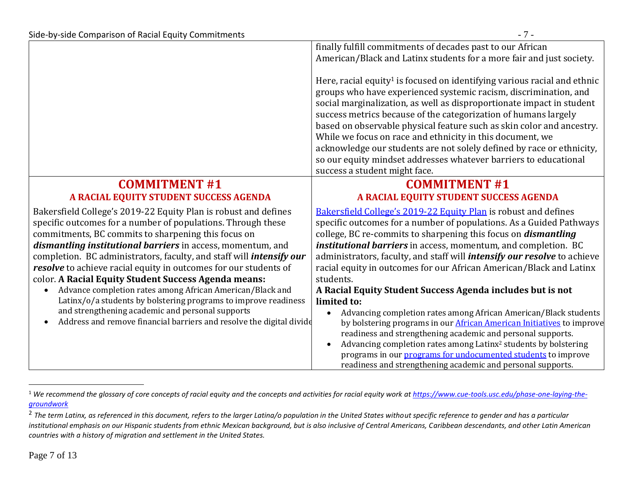|                                                                             | finally fulfill commitments of decades past to our African                                                                   |
|-----------------------------------------------------------------------------|------------------------------------------------------------------------------------------------------------------------------|
|                                                                             | American/Black and Latinx students for a more fair and just society.                                                         |
|                                                                             |                                                                                                                              |
|                                                                             | Here, racial equity <sup>1</sup> is focused on identifying various racial and ethnic                                         |
|                                                                             | groups who have experienced systemic racism, discrimination, and                                                             |
|                                                                             | social marginalization, as well as disproportionate impact in student                                                        |
|                                                                             | success metrics because of the categorization of humans largely                                                              |
|                                                                             | based on observable physical feature such as skin color and ancestry.                                                        |
|                                                                             | While we focus on race and ethnicity in this document, we                                                                    |
|                                                                             | acknowledge our students are not solely defined by race or ethnicity,                                                        |
|                                                                             | so our equity mindset addresses whatever barriers to educational                                                             |
|                                                                             | success a student might face.                                                                                                |
| <b>COMMITMENT #1</b>                                                        | <b>COMMITMENT #1</b>                                                                                                         |
| A RACIAL EQUITY STUDENT SUCCESS AGENDA                                      | A RACIAL EQUITY STUDENT SUCCESS AGENDA                                                                                       |
| Bakersfield College's 2019-22 Equity Plan is robust and defines             | <b>Bakersfield College's 2019-22 Equity Plan is robust and defines</b>                                                       |
| specific outcomes for a number of populations. Through these                | specific outcomes for a number of populations. As a Guided Pathways                                                          |
| commitments, BC commits to sharpening this focus on                         | college, BC re-commits to sharpening this focus on <i>dismantling</i>                                                        |
| dismantling institutional barriers in access, momentum, and                 | institutional barriers in access, momentum, and completion. BC                                                               |
| completion. BC administrators, faculty, and staff will <i>intensify our</i> | administrators, faculty, and staff will <i>intensify our resolve</i> to achieve                                              |
| resolve to achieve racial equity in outcomes for our students of            | racial equity in outcomes for our African American/Black and Latinx                                                          |
| color. A Racial Equity Student Success Agenda means:                        | students.                                                                                                                    |
| Advance completion rates among African American/Black and                   | A Racial Equity Student Success Agenda includes but is not                                                                   |
| Latinx/o/a students by bolstering programs to improve readiness             |                                                                                                                              |
|                                                                             | limited to:                                                                                                                  |
| and strengthening academic and personal supports                            | Advancing completion rates among African American/Black students                                                             |
| Address and remove financial barriers and resolve the digital divide        | by bolstering programs in our <b>African American Initiatives</b> to improve                                                 |
|                                                                             | readiness and strengthening academic and personal supports.                                                                  |
|                                                                             | Advancing completion rates among Latinx <sup>2</sup> students by bolstering                                                  |
|                                                                             | programs in our programs for undocumented students to improve<br>readiness and strengthening academic and personal supports. |

 $\overline{a}$ 

<sup>&</sup>lt;sup>1</sup> We recommend the glossary of core concepts of racial equity and the concepts and activities for racial equity work a[t https://www.cue-tools.usc.edu/phase-one-laying-the](https://www.cue-tools.usc.edu/phase-one-laying-the-groundwork)*[groundwork](https://www.cue-tools.usc.edu/phase-one-laying-the-groundwork)*

<sup>&</sup>lt;sup>2</sup> The term Latinx, as referenced in this document, refers to the larger Latina/o population in the United States without specific reference to gender and has a particular *institutional emphasis on our Hispanic students from ethnic Mexican background, but is also inclusive of Central Americans, Caribbean descendants, and other Latin American countries with a history of migration and settlement in the United States.*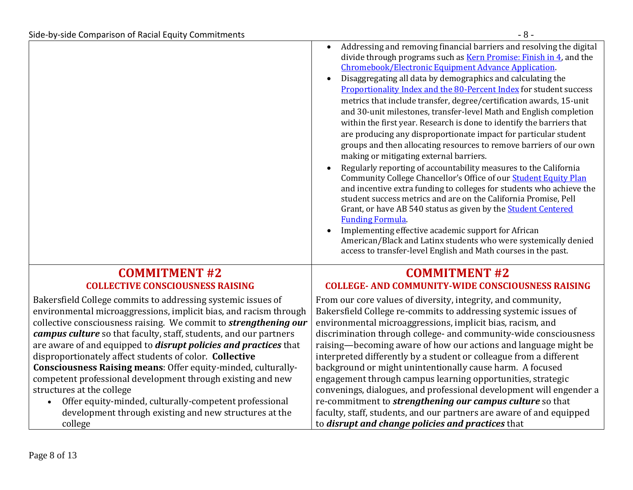|                                                                                                                                                                                                                                                                                                                                                                                                                                                                                                                                                                                                                                                                                                                                         | Addressing and removing financial barriers and resolving the digital<br>divide through programs such as Kern Promise: Finish in 4, and the<br>Chromebook/Electronic Equipment Advance Application.<br>Disaggregating all data by demographics and calculating the<br>Proportionality Index and the 80-Percent Index for student success<br>metrics that include transfer, degree/certification awards, 15-unit<br>and 30-unit milestones, transfer-level Math and English completion<br>within the first year. Research is done to identify the barriers that<br>are producing any disproportionate impact for particular student<br>groups and then allocating resources to remove barriers of our own<br>making or mitigating external barriers.<br>Regularly reporting of accountability measures to the California<br>Community College Chancellor's Office of our <b>Student Equity Plan</b><br>and incentive extra funding to colleges for students who achieve the<br>student success metrics and are on the California Promise, Pell<br>Grant, or have AB 540 status as given by the <b>Student Centered</b><br><b>Funding Formula</b><br>Implementing effective academic support for African<br>American/Black and Latinx students who were systemically denied<br>access to transfer-level English and Math courses in the past. |
|-----------------------------------------------------------------------------------------------------------------------------------------------------------------------------------------------------------------------------------------------------------------------------------------------------------------------------------------------------------------------------------------------------------------------------------------------------------------------------------------------------------------------------------------------------------------------------------------------------------------------------------------------------------------------------------------------------------------------------------------|--------------------------------------------------------------------------------------------------------------------------------------------------------------------------------------------------------------------------------------------------------------------------------------------------------------------------------------------------------------------------------------------------------------------------------------------------------------------------------------------------------------------------------------------------------------------------------------------------------------------------------------------------------------------------------------------------------------------------------------------------------------------------------------------------------------------------------------------------------------------------------------------------------------------------------------------------------------------------------------------------------------------------------------------------------------------------------------------------------------------------------------------------------------------------------------------------------------------------------------------------------------------------------------------------------------------------------------------|
| <b>COMMITMENT #2</b><br><b>COLLECTIVE CONSCIOUSNESS RAISING</b>                                                                                                                                                                                                                                                                                                                                                                                                                                                                                                                                                                                                                                                                         | <b>COMMITMENT #2</b><br><b>COLLEGE- AND COMMUNITY-WIDE CONSCIOUSNESS RAISING</b>                                                                                                                                                                                                                                                                                                                                                                                                                                                                                                                                                                                                                                                                                                                                                                                                                                                                                                                                                                                                                                                                                                                                                                                                                                                           |
| Bakersfield College commits to addressing systemic issues of<br>environmental microaggressions, implicit bias, and racism through<br>collective consciousness raising. We commit to <i>strengthening our</i><br><i>campus culture</i> so that faculty, staff, students, and our partners<br>are aware of and equipped to <b>disrupt policies and practices</b> that<br>disproportionately affect students of color. Collective<br>Consciousness Raising means: Offer equity-minded, culturally-<br>competent professional development through existing and new<br>structures at the college<br>Offer equity-minded, culturally-competent professional<br>$\bullet$<br>development through existing and new structures at the<br>college | From our core values of diversity, integrity, and community,<br>Bakersfield College re-commits to addressing systemic issues of<br>environmental microaggressions, implicit bias, racism, and<br>discrimination through college- and community-wide consciousness<br>raising—becoming aware of how our actions and language might be<br>interpreted differently by a student or colleague from a different<br>background or might unintentionally cause harm. A focused<br>engagement through campus learning opportunities, strategic<br>convenings, dialogues, and professional development will engender a<br>re-commitment to <i>strengthening our campus culture</i> so that<br>faculty, staff, students, and our partners are aware of and equipped<br>to disrupt and change policies and practices that                                                                                                                                                                                                                                                                                                                                                                                                                                                                                                                             |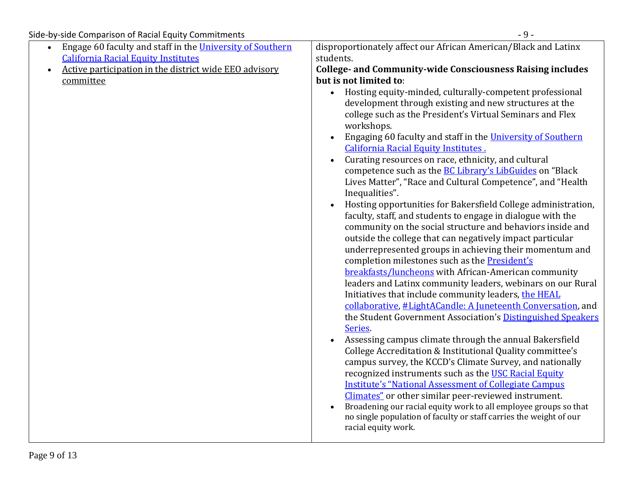|                                                                                                                                                                                                                                        | $-9-$                                                                                                                                                                                                                                                                                                                                                                                                                                                                                                                                                                                                                                                                                                                                                                                                                                                                                                                                                                                                                                                                                                                                                                                                                                                                               |
|----------------------------------------------------------------------------------------------------------------------------------------------------------------------------------------------------------------------------------------|-------------------------------------------------------------------------------------------------------------------------------------------------------------------------------------------------------------------------------------------------------------------------------------------------------------------------------------------------------------------------------------------------------------------------------------------------------------------------------------------------------------------------------------------------------------------------------------------------------------------------------------------------------------------------------------------------------------------------------------------------------------------------------------------------------------------------------------------------------------------------------------------------------------------------------------------------------------------------------------------------------------------------------------------------------------------------------------------------------------------------------------------------------------------------------------------------------------------------------------------------------------------------------------|
| Side-by-side Comparison of Racial Equity Commitments<br>Engage 60 faculty and staff in the University of Southern<br><b>California Racial Equity Institutes</b><br>Active participation in the district wide EEO advisory<br>committee | disproportionately affect our African American/Black and Latinx<br>students.<br><b>College- and Community-wide Consciousness Raising includes</b><br>but is not limited to:<br>Hosting equity-minded, culturally-competent professional<br>$\bullet$<br>development through existing and new structures at the<br>college such as the President's Virtual Seminars and Flex<br>workshops.<br>Engaging 60 faculty and staff in the University of Southern                                                                                                                                                                                                                                                                                                                                                                                                                                                                                                                                                                                                                                                                                                                                                                                                                            |
|                                                                                                                                                                                                                                        | California Racial Equity Institutes.<br>Curating resources on race, ethnicity, and cultural<br>$\bullet$<br>competence such as the <b>BC Library's LibGuides</b> on "Black<br>Lives Matter", "Race and Cultural Competence", and "Health<br>Inequalities".<br>Hosting opportunities for Bakersfield College administration,<br>faculty, staff, and students to engage in dialogue with the<br>community on the social structure and behaviors inside and<br>outside the college that can negatively impact particular<br>underrepresented groups in achieving their momentum and<br>completion milestones such as the President's<br>breakfasts/luncheons with African-American community<br>leaders and Latinx community leaders, webinars on our Rural<br>Initiatives that include community leaders, the HEAL<br>collaborative, #LightACandle: A Juneteenth Conversation, and<br>the Student Government Association's Distinguished Speakers<br>Series.<br>Assessing campus climate through the annual Bakersfield<br>$\bullet$<br>College Accreditation & Institutional Quality committee's<br>campus survey, the KCCD's Climate Survey, and nationally<br>recognized instruments such as the USC Racial Equity<br><b>Institute's "National Assessment of Collegiate Campus</b> |
|                                                                                                                                                                                                                                        | Climates" or other similar peer-reviewed instrument.<br>Broadening our racial equity work to all employee groups so that<br>no single population of faculty or staff carries the weight of our<br>racial equity work.                                                                                                                                                                                                                                                                                                                                                                                                                                                                                                                                                                                                                                                                                                                                                                                                                                                                                                                                                                                                                                                               |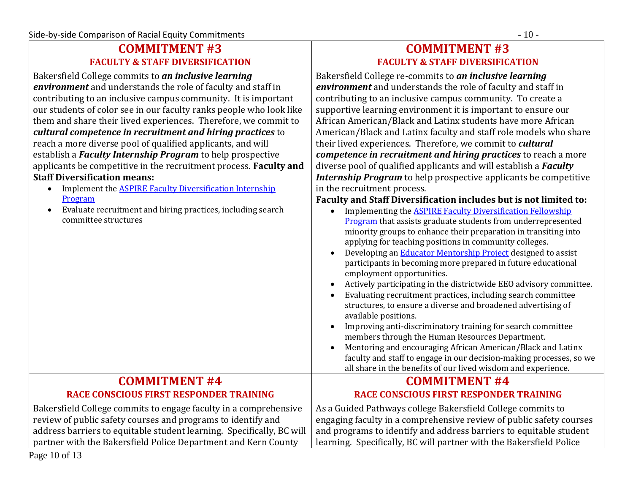## **COMMITMENT #3 FACULTY & STAFF DIVERSIFICATION**

Bakersfield College commits to *an inclusive learning environment* and understands the role of faculty and staff in contributing to an inclusive campus community. It is important our students of color see in our faculty ranks people who look like them and share their lived experiences. Therefore, we commit to *cultural competence in recruitment and hiring practices* to reach a more diverse pool of qualified applicants, and will establish a *Faculty Internship Program* to help prospective applicants be competitive in the recruitment process. **Faculty and Staff Diversification means:**

- Implement the [ASPIRE Faculty Diversification Internship](https://www.bakersfieldcollege.edu/employees/professional-development/faculty-diversification-fellowship)  [Program](https://www.bakersfieldcollege.edu/employees/professional-development/faculty-diversification-fellowship)
- Evaluate recruitment and hiring practices, including search

# **COMMITMENT #3 FACULTY & STAFF DIVERSIFICATION**

Bakersfield College re-commits to *an inclusive learning environment* and understands the role of faculty and staff in contributing to an inclusive campus community. To create a supportive learning environment it is important to ensure our African American/Black and Latinx students have more African American/Black and Latinx faculty and staff role models who share their lived experiences. Therefore, we commit to *cultural competence in recruitment and hiring practices* to reach a more diverse pool of qualified applicants and will establish a *Faculty Internship Program* to help prospective applicants be competitive in the recruitment process.

| <u>ниріснісні сис <del>пот пуш і асану</del> ріустэнісасіон нісегнэнір</u>                                                                                                                                                                                                  | in the reef dithelit process.                                                                                                                                                                                                                                                                                                                                                                                                                                                                                                                                                                                                                                                                                                                                                                                                                                                                                                                                                                                                                                                  |
|-----------------------------------------------------------------------------------------------------------------------------------------------------------------------------------------------------------------------------------------------------------------------------|--------------------------------------------------------------------------------------------------------------------------------------------------------------------------------------------------------------------------------------------------------------------------------------------------------------------------------------------------------------------------------------------------------------------------------------------------------------------------------------------------------------------------------------------------------------------------------------------------------------------------------------------------------------------------------------------------------------------------------------------------------------------------------------------------------------------------------------------------------------------------------------------------------------------------------------------------------------------------------------------------------------------------------------------------------------------------------|
| Program                                                                                                                                                                                                                                                                     | Faculty and Staff Diversification includes but is not limited to:                                                                                                                                                                                                                                                                                                                                                                                                                                                                                                                                                                                                                                                                                                                                                                                                                                                                                                                                                                                                              |
| Evaluate recruitment and hiring practices, including search<br>committee structures                                                                                                                                                                                         | <b>Implementing the ASPIRE Faculty Diversification Fellowship</b><br>$\bullet$<br><b>Program</b> that assists graduate students from underrepresented<br>minority groups to enhance their preparation in transiting into<br>applying for teaching positions in community colleges.<br>Developing an <b>Educator Mentorship Project</b> designed to assist<br>$\bullet$<br>participants in becoming more prepared in future educational<br>employment opportunities.<br>Actively participating in the districtwide EEO advisory committee.<br>$\bullet$<br>Evaluating recruitment practices, including search committee<br>$\bullet$<br>structures, to ensure a diverse and broadened advertising of<br>available positions.<br>Improving anti-discriminatory training for search committee<br>$\bullet$<br>members through the Human Resources Department.<br>Mentoring and encouraging African American/Black and Latinx<br>$\bullet$<br>faculty and staff to engage in our decision-making processes, so we<br>all share in the benefits of our lived wisdom and experience. |
| <b>COMMITMENT #4</b>                                                                                                                                                                                                                                                        | <b>COMMITMENT #4</b>                                                                                                                                                                                                                                                                                                                                                                                                                                                                                                                                                                                                                                                                                                                                                                                                                                                                                                                                                                                                                                                           |
| <b>RACE CONSCIOUS FIRST RESPONDER TRAINING</b>                                                                                                                                                                                                                              | <b>RACE CONSCIOUS FIRST RESPONDER TRAINING</b>                                                                                                                                                                                                                                                                                                                                                                                                                                                                                                                                                                                                                                                                                                                                                                                                                                                                                                                                                                                                                                 |
| Bakersfield College commits to engage faculty in a comprehensive<br>review of public safety courses and programs to identify and<br>address barriers to equitable student learning. Specifically, BC will<br>partner with the Bakersfield Police Department and Kern County | As a Guided Pathways college Bakersfield College commits to<br>engaging faculty in a comprehensive review of public safety courses<br>and programs to identify and address barriers to equitable student<br>learning. Specifically, BC will partner with the Bakersfield Police                                                                                                                                                                                                                                                                                                                                                                                                                                                                                                                                                                                                                                                                                                                                                                                                |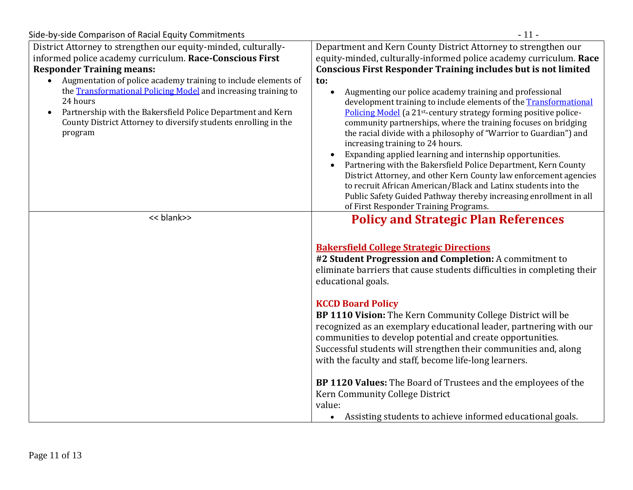| Side-by-side Comparison of Racial Equity Commitments                                                                                                                                                                                                                                                                                                                                                                                                        | $-11-$                                                                                                                                                                                                                                                                                                                                                                                                                                                                                                                                                                                                                                                                                                                                                                                                                                                                                                                                                                                                                       |
|-------------------------------------------------------------------------------------------------------------------------------------------------------------------------------------------------------------------------------------------------------------------------------------------------------------------------------------------------------------------------------------------------------------------------------------------------------------|------------------------------------------------------------------------------------------------------------------------------------------------------------------------------------------------------------------------------------------------------------------------------------------------------------------------------------------------------------------------------------------------------------------------------------------------------------------------------------------------------------------------------------------------------------------------------------------------------------------------------------------------------------------------------------------------------------------------------------------------------------------------------------------------------------------------------------------------------------------------------------------------------------------------------------------------------------------------------------------------------------------------------|
| District Attorney to strengthen our equity-minded, culturally-<br>informed police academy curriculum. Race-Conscious First<br><b>Responder Training means:</b><br>Augmentation of police academy training to include elements of<br>the Transformational Policing Model and increasing training to<br>24 hours<br>Partnership with the Bakersfield Police Department and Kern<br>County District Attorney to diversify students enrolling in the<br>program | Department and Kern County District Attorney to strengthen our<br>equity-minded, culturally-informed police academy curriculum. Race<br><b>Conscious First Responder Training includes but is not limited</b><br>to:<br>Augmenting our police academy training and professional<br>$\bullet$<br>development training to include elements of the Transformational<br>Policing Model (a 21 <sup>st</sup> -century strategy forming positive police-<br>community partnerships, where the training focuses on bridging<br>the racial divide with a philosophy of "Warrior to Guardian") and<br>increasing training to 24 hours.<br>Expanding applied learning and internship opportunities.<br>$\bullet$<br>Partnering with the Bakersfield Police Department, Kern County<br>District Attorney, and other Kern County law enforcement agencies<br>to recruit African American/Black and Latinx students into the<br>Public Safety Guided Pathway thereby increasing enrollment in all<br>of First Responder Training Programs. |
| << blank>>                                                                                                                                                                                                                                                                                                                                                                                                                                                  | <b>Policy and Strategic Plan References</b><br><b>Bakersfield College Strategic Directions</b><br>#2 Student Progression and Completion: A commitment to<br>eliminate barriers that cause students difficulties in completing their<br>educational goals.<br><b>KCCD Board Policy</b><br>BP 1110 Vision: The Kern Community College District will be<br>recognized as an exemplary educational leader, partnering with our<br>communities to develop potential and create opportunities.<br>Successful students will strengthen their communities and, along<br>with the faculty and staff, become life-long learners.<br>BP 1120 Values: The Board of Trustees and the employees of the<br>Kern Community College District<br>value:<br>Assisting students to achieve informed educational goals.<br>$\bullet$                                                                                                                                                                                                              |